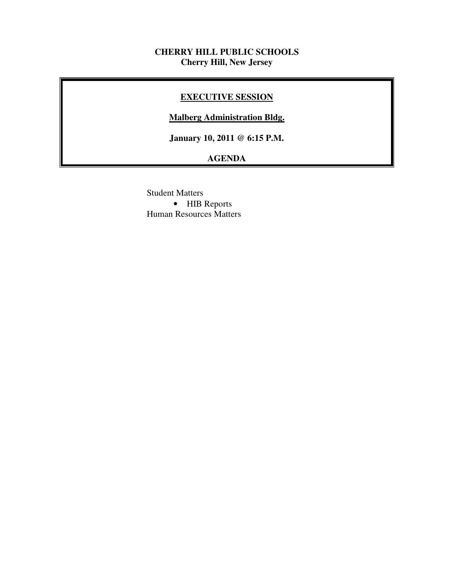### **CHERRY HILL PUBLIC SCHOOLS Cherry Hill, New Jersey**

# **EXECUTIVE SESSION**

#### **Malberg Administration Bldg.**

 **January 10, 2011 @ 6:15 P.M.** 

# **AGENDA**

 Student Matters • HIB Reports Human Resources Matters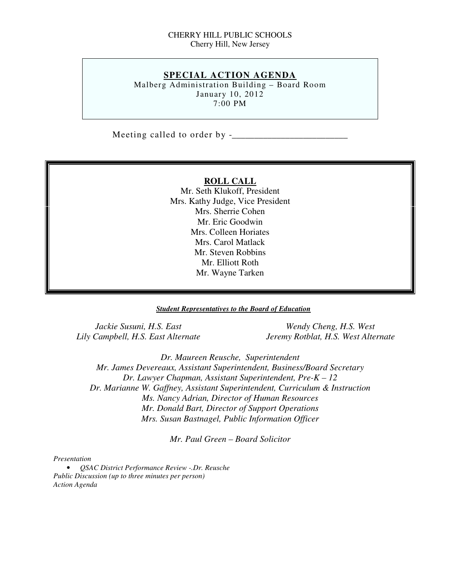#### CHERRY HILL PUBLIC SCHOOLS Cherry Hill, New Jersey

# **SPECIAL ACTION AGENDA**

 Malberg Administration Building – Board Room January 10, 2012 7:00 PM

Meeting called to order by -\_\_\_\_\_\_\_\_\_\_\_\_\_\_\_\_\_\_\_\_\_\_\_\_\_\_

#### **ROLL CALL**

 Mr. Seth Klukoff, President Mrs. Kathy Judge, Vice President Mrs. Sherrie Cohen Mr. Eric Goodwin Mrs. Colleen Horiates Mrs. Carol Matlack Mr. Steven Robbins Mr. Elliott Roth Mr. Wayne Tarken

#### *Student Representatives to the Board of Education*

Jackie Susuni, H.S. East Lily Campbell, H.S. East Alternate

*Wendy Cheng, H.S. West Lily Campbell, H.S. East Alternate Jeremy Rotblat, H.S. West Alternate* 

 *Dr. Maureen Reusche, Superintendent Mr. James Devereaux, Assistant Superintendent, Business/Board Secretary Dr. Lawyer Chapman, Assistant Superintendent, Pre-K – 12 Dr. Marianne W. Gaffney, Assistant Superintendent, Curriculum & Instruction Ms. Nancy Adrian, Director of Human Resources Mr. Donald Bart, Director of Support Operations Mrs. Susan Bastnagel, Public Information Officer* 

 *Mr. Paul Green – Board Solicitor* 

#### *Presentation*

 • *QSAC District Performance Review -.Dr. Reusche Public Discussion (up to three minutes per person) Action Agenda*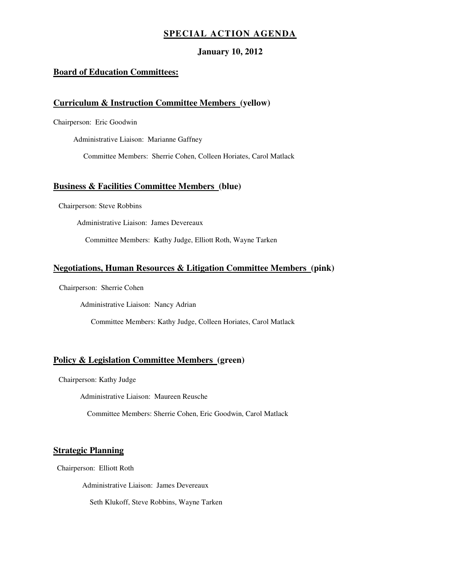### **SPECIAL ACTION AGENDA**

#### **January 10, 2012**

#### **Board of Education Committees:**

#### **Curriculum & Instruction Committee Members (yellow)**

Chairperson: Eric Goodwin

Administrative Liaison: Marianne Gaffney

Committee Members: Sherrie Cohen, Colleen Horiates, Carol Matlack

#### **Business & Facilities Committee Members (blue)**

Chairperson: Steve Robbins

Administrative Liaison: James Devereaux

Committee Members: Kathy Judge, Elliott Roth, Wayne Tarken

#### **Negotiations, Human Resources & Litigation Committee Members (pink)**

Chairperson: Sherrie Cohen

Administrative Liaison: Nancy Adrian

Committee Members: Kathy Judge, Colleen Horiates, Carol Matlack

#### **Policy & Legislation Committee Members (green)**

Chairperson: Kathy Judge

Administrative Liaison: Maureen Reusche

Committee Members: Sherrie Cohen, Eric Goodwin, Carol Matlack

#### **Strategic Planning**

Chairperson: Elliott Roth

Administrative Liaison: James Devereaux

Seth Klukoff, Steve Robbins, Wayne Tarken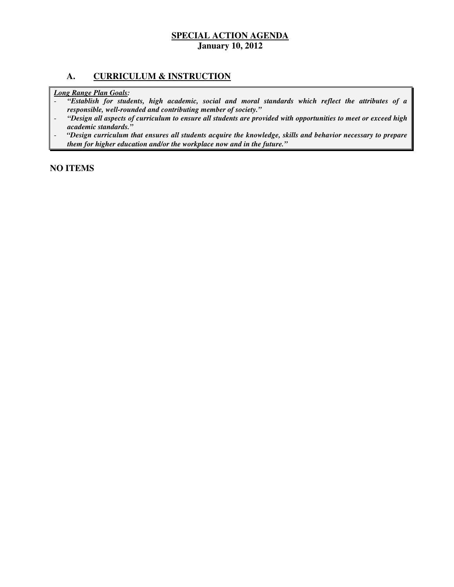### **A. CURRICULUM & INSTRUCTION**

 *Long Range Plan Goals:* 

- *"Establish for students, high academic, social and moral standards which reflect the attributes of a responsible, well-rounded and contributing member of society."*
- *"Design all aspects of curriculum to ensure all students are provided with opportunities to meet or exceed high academic standards."*
- *"Design curriculum that ensures all students acquire the knowledge, skills and behavior necessary to prepare them for higher education and/or the workplace now and in the future."*

 **NO ITEMS**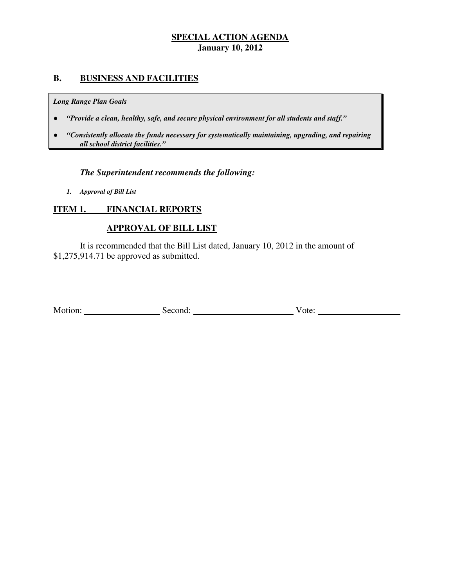# **B. BUSINESS AND FACILITIES**

#### *Long Range Plan Goals*

- *"Provide a clean, healthy, safe, and secure physical environment for all students and staff."*
- *all school district facilities."*  ● *"Consistently allocate the funds necessary for systematically maintaining, upgrading, and repairing*

# *The Superintendent recommends the following:*

 *1. Approval of Bill List* 

#### **ITEM 1. FINANCIAL REPORTS**

# **APPROVAL OF BILL LIST**

 \$1,275,914.71 be approved as submitted. It is recommended that the Bill List dated, January 10, 2012 in the amount of

| Motion: | Second: | ote: |  |
|---------|---------|------|--|
|---------|---------|------|--|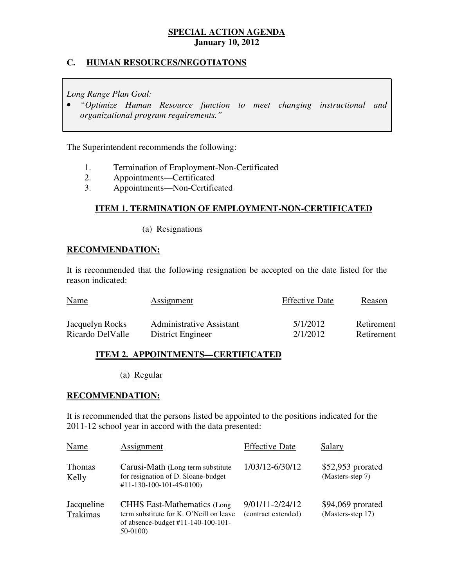# **C. HUMAN RESOURCES/NEGOTIATONS**

 *Long Range Plan Goal:* 

**•** "Optimize Human Resource function to meet changing instructional and  *organizational program requirements."* 

The Superintendent recommends the following:

- 1. 1. Termination of Employment-Non-Certificated
- $2.$ 2. Appointments—Certificated
- $3.$ 3. Appointments—Non-Certificated

# **ITEM 1. TERMINATION OF EMPLOYMENT-NON-CERTIFICATED**

(a) Resignations

# **RECOMMENDATION:**

 It is recommended that the following resignation be accepted on the date listed for the reason indicated:

| <b>Name</b>      | <b>Assignment</b>               | <b>Effective Date</b> | Reason     |
|------------------|---------------------------------|-----------------------|------------|
| Jacquelyn Rocks  | <b>Administrative Assistant</b> | 5/1/2012              | Retirement |
| Ricardo DelValle | District Engineer               | 2/1/2012              | Retirement |

# **ITEM 2. APPOINTMENTS—CERTIFICATED**

(a) Regular

# **RECOMMENDATION:**

 It is recommended that the persons listed be appointed to the positions indicated for the 2011-12 school year in accord with the data presented:

| Name                   | Assignment                                                                                                                      | <b>Effective Date</b>                      | Salary                                  |
|------------------------|---------------------------------------------------------------------------------------------------------------------------------|--------------------------------------------|-----------------------------------------|
| <b>Thomas</b><br>Kelly | Carusi-Math (Long term substitute<br>for resignation of D. Sloane-budget<br>#11-130-100-101-45-0100)                            | 1/03/12-6/30/12                            | $$52,953$ prorated<br>(Masters-step 7)  |
| Jacqueline<br>Trakimas | <b>CHHS East-Mathematics (Long</b><br>term substitute for K. O'Neill on leave<br>of absence-budget #11-140-100-101-<br>50-0100) | $9/01/11 - 2/24/12$<br>(contract extended) | $$94,069$ prorated<br>(Masters-step 17) |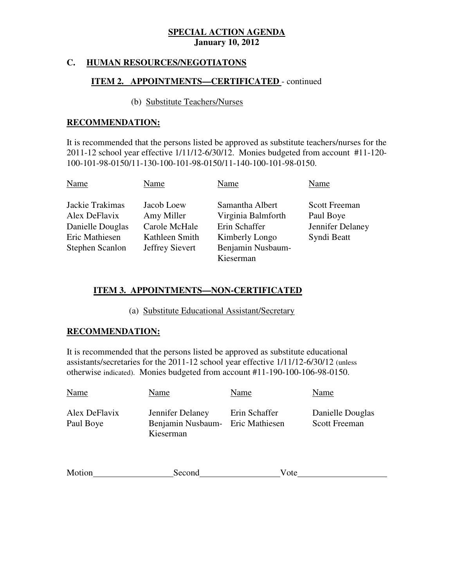# **C. HUMAN RESOURCES/NEGOTIATONS**

# **ITEM 2. APPOINTMENTS—CERTIFICATED** - continued

# (b) Substitute Teachers/Nurses

# **RECOMMENDATION:**

 It is recommended that the persons listed be approved as substitute teachers/nurses for the 2011-12 school year effective 1/11/12-6/30/12. Monies budgeted from account #11-120 100-101-98-0150/11-130-100-101-98-0150/11-140-100-101-98-0150.

| Name                             | Name                     | Name                                  | Name                              |
|----------------------------------|--------------------------|---------------------------------------|-----------------------------------|
| Jackie Trakimas<br>Alex DeFlavix | Jacob Loew<br>Amy Miller | Samantha Albert<br>Virginia Balmforth | <b>Scott Freeman</b><br>Paul Boye |
| Danielle Douglas                 | Carole McHale            | Erin Schaffer                         | Jennifer Delaney                  |
| Eric Mathiesen                   | Kathleen Smith           | Kimberly Longo                        | Syndi Beatt                       |
| Stephen Scanlon                  | Jeffrey Sievert          | Benjamin Nusbaum-<br>Kieserman        |                                   |

# **ITEM 3. APPOINTMENTS—NON-CERTIFICATED**

(a) Substitute Educational Assistant/Secretary

# **RECOMMENDATION:**

 It is recommended that the persons listed be approved as substitute educational assistants/secretaries for the 2011-12 school year effective 1/11/12-6/30/12 (unless otherwise indicated). Monies budgeted from account #11-190-100-106-98-0150.

| Name                       | Name                                                              | Name          | Name                                     |
|----------------------------|-------------------------------------------------------------------|---------------|------------------------------------------|
| Alex DeFlavix<br>Paul Boye | Jennifer Delaney<br>Benjamin Nusbaum- Eric Mathiesen<br>Kieserman | Erin Schaffer | Danielle Douglas<br><b>Scott Freeman</b> |

| Motion | Second | ்பட |
|--------|--------|-----|
|        |        |     |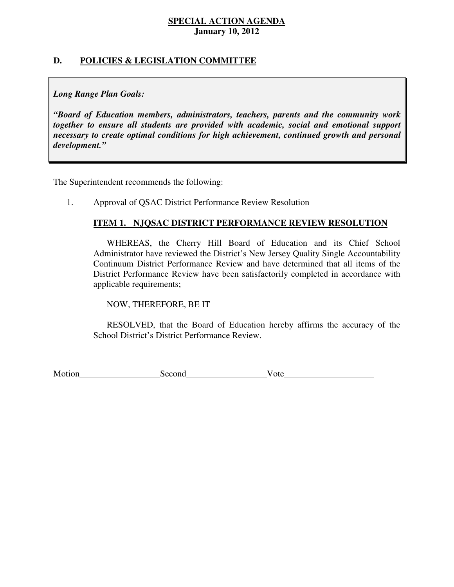# **D. POLICIES & LEGISLATION COMMITTEE**

# *Long Range Plan Goals:*

 *"Board of Education members, administrators, teachers, parents and the community work together to ensure all students are provided with academic, social and emotional support necessary to create optimal conditions for high achievement, continued growth and personal development."* 

The Superintendent recommends the following:

1. Approval of QSAC District Performance Review Resolution

# **ITEM 1. NJQSAC DISTRICT PERFORMANCE REVIEW RESOLUTION**

 WHEREAS, the Cherry Hill Board of Education and its Chief School Administrator have reviewed the District's New Jersey Quality Single Accountability Continuum District Performance Review and have determined that all items of the District Performance Review have been satisfactorily completed in accordance with applicable requirements;

NOW, THEREFORE, BE IT

 RESOLVED, that the Board of Education hereby affirms the accuracy of the School District's District Performance Review.

Motion Second Vote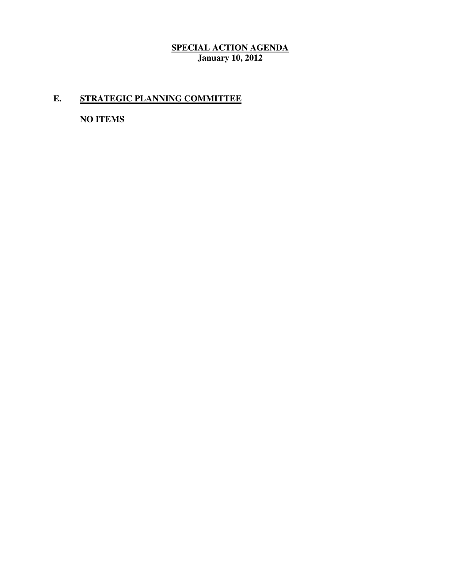# **E. STRATEGIC PLANNING COMMITTEE**

 **NO ITEMS**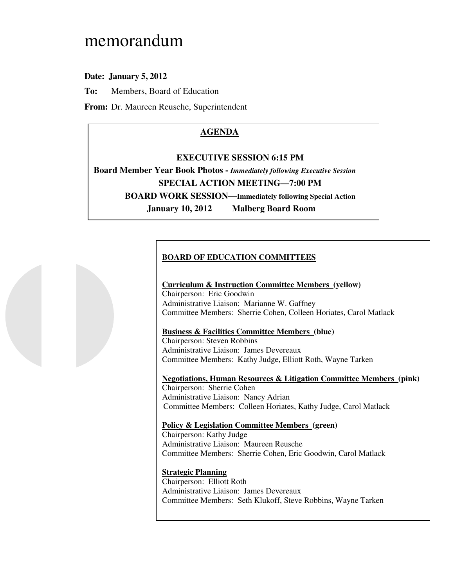# memorandum

# **Date: January 5, 2012**

**To:** Members, Board of Education

**From:** Dr. Maureen Reusche, Superintendent

# **AGENDA**

#### **EXECUTIVE SESSION 6:15 PM**

 **Board Member Year Book Photos -** *Immediately following Executive Session*   **SPECIAL ACTION MEETING—7:00 PM BOARD WORK SESSION—Immediately following Special Action January 10, 2012 Malberg Board Room** 

# **BOARD OF EDUCATION COMMITTEES**

#### **Curriculum & Instruction Committee Members (yellow)**  Chairperson: Eric Goodwin Administrative Liaison: Marianne W. Gaffney Committee Members: Sherrie Cohen, Colleen Horiates, Carol Matlack

#### **Business & Facilities Committee Members (blue)**

 Chairperson: Steven Robbins Administrative Liaison: James Devereaux Committee Members: Kathy Judge, Elliott Roth, Wayne Tarken

 **Negotiations, Human Resources & Litigation Committee Members (pink)**  Chairperson: Sherrie Cohen Administrative Liaison: Nancy Adrian Committee Members: Colleen Horiates, Kathy Judge, Carol Matlack

# **Policy & Legislation Committee Members (green)**

 Chairperson: Kathy Judge Administrative Liaison: Maureen Reusche Committee Members: Sherrie Cohen, Eric Goodwin, Carol Matlack

#### **Strategic Planning**

 Chairperson: Elliott Roth Administrative Liaison: James Devereaux Committee Members: Seth Klukoff, Steve Robbins, Wayne Tarken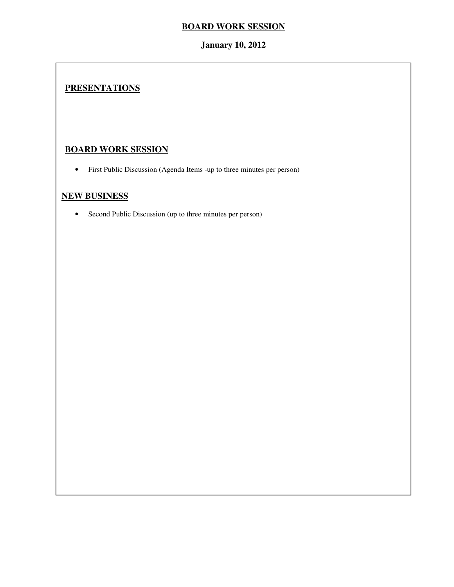# **January 10, 2012**

# **PRESENTATIONS**

# **BOARD WORK SESSION**

• First Public Discussion (Agenda Items -up to three minutes per person)

# **NEW BUSINESS**

• Second Public Discussion (up to three minutes per person)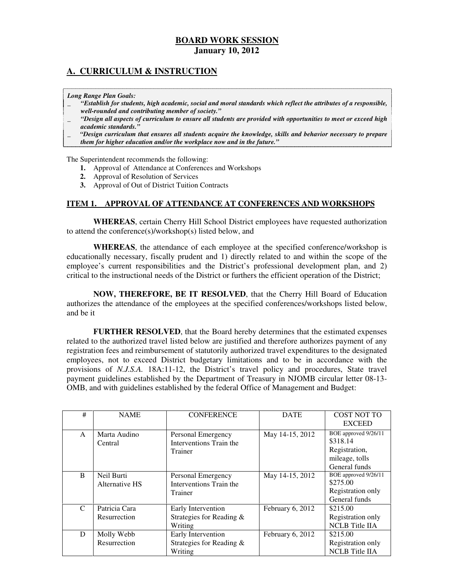# **A. CURRICULUM & INSTRUCTION**

#### *Long Range Plan Goals:*

- \_ *"Establish for students, high academic, social and moral standards which reflect the attributes of a responsible, well-rounded and contributing member of society."*
- \_ *"Design all aspects of curriculum to ensure all students are provided with opportunities to meet or exceed high academic standards."*
- \_ *"Design curriculum that ensures all students acquire the knowledge, skills and behavior necessary to prepare them for higher education and/or the workplace now and in the future."*

The Superintendent recommends the following:

- **1.** Approval of Attendance at Conferences and Workshops
- **2.** Approval of Resolution of Services
- **3.** Approval of Out of District Tuition Contracts

#### **ITEM 1. APPROVAL OF ATTENDANCE AT CONFERENCES AND WORKSHOPS**

 **WHEREAS**, certain Cherry Hill School District employees have requested authorization to attend the conference(s)/workshop(s) listed below, and

 **WHEREAS**, the attendance of each employee at the specified conference/workshop is educationally necessary, fiscally prudent and 1) directly related to and within the scope of the employee's current responsibilities and the District's professional development plan, and 2) critical to the instructional needs of the District or furthers the efficient operation of the District;

 **NOW, THEREFORE, BE IT RESOLVED**, that the Cherry Hill Board of Education authorizes the attendance of the employees at the specified conferences/workshops listed below, and be it

 **FURTHER RESOLVED**, that the Board hereby determines that the estimated expenses related to the authorized travel listed below are justified and therefore authorizes payment of any registration fees and reimbursement of statutorily authorized travel expenditures to the designated employees, not to exceed District budgetary limitations and to be in accordance with the provisions of *N.J.S.A.* 18A:11-12, the District's travel policy and procedures, State travel payment guidelines established by the Department of Treasury in NJOMB circular letter 08-13 OMB, and with guidelines established by the federal Office of Management and Budget:

| #             | <b>NAME</b>                   | <b>CONFERENCE</b>                                            | <b>DATE</b>      | COST NOT TO<br><b>EXCEED</b>                                                         |
|---------------|-------------------------------|--------------------------------------------------------------|------------------|--------------------------------------------------------------------------------------|
| A             | Marta Audino<br>Central       | Personal Emergency<br>Interventions Train the<br>Trainer     | May 14-15, 2012  | BOE approved 9/26/11<br>\$318.14<br>Registration,<br>mileage, tolls<br>General funds |
| <sub>B</sub>  | Neil Burti<br>Alternative HS  | Personal Emergency<br>Interventions Train the<br>Trainer     | May 14-15, 2012  | BOE approved 9/26/11<br>\$275.00<br>Registration only<br>General funds               |
| $\mathcal{C}$ | Patricia Cara<br>Resurrection | Early Intervention<br>Strategies for Reading $\&$<br>Writing | February 6, 2012 | \$215.00<br>Registration only<br><b>NCLB</b> Title IIA                               |
| D             | Molly Webb<br>Resurrection    | Early Intervention<br>Strategies for Reading $\&$<br>Writing | February 6, 2012 | \$215.00<br>Registration only<br><b>NCLB</b> Title IIA                               |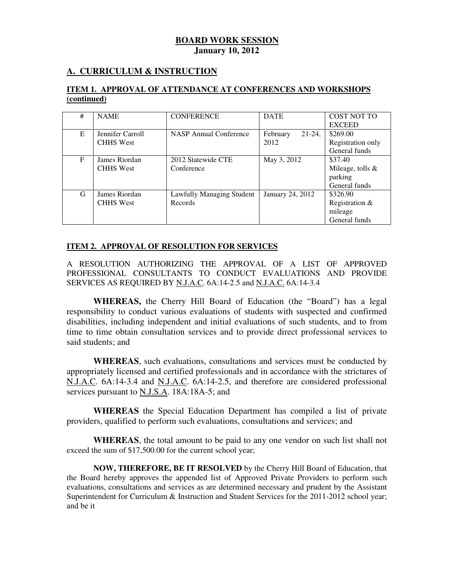# **A. CURRICULUM & INSTRUCTION**

### **ITEM 1. APPROVAL OF ATTENDANCE AT CONFERENCES AND WORKSHOPS (continued)**

| # | <b>NAME</b>      | <b>CONFERENCE</b>         | <b>DATE</b>           | <b>COST NOT TO</b>  |
|---|------------------|---------------------------|-----------------------|---------------------|
|   |                  |                           |                       | <b>EXCEED</b>       |
| E | Jennifer Carroll | NASP Annual Conference    | $21-24$ ,<br>February | \$269.00            |
|   | <b>CHHS</b> West |                           | 2012                  | Registration only   |
|   |                  |                           |                       | General funds       |
| F | James Riordan    | 2012 Statewide CTE        | May 3, 2012           | \$37.40             |
|   | <b>CHHS</b> West | Conference                |                       | Mileage, tolls $\&$ |
|   |                  |                           |                       | parking             |
|   |                  |                           |                       | General funds       |
| G | James Riordan    | Lawfully Managing Student | January 24, 2012      | \$326.90            |
|   | <b>CHHS</b> West | Records                   |                       | Registration $&$    |
|   |                  |                           |                       | mileage             |
|   |                  |                           |                       | General funds       |

#### **ITEM 2. APPROVAL OF RESOLUTION FOR SERVICES**

 A RESOLUTION AUTHORIZING THE APPROVAL OF A LIST OF APPROVED PROFESSIONAL CONSULTANTS TO CONDUCT EVALUATIONS AND PROVIDE SERVICES AS REQUIRED BY **N.J.A.C**. 6A:14-2.5 and **N.J.A.C.** 6A:14-3.4

 **WHEREAS,** the Cherry Hill Board of Education (the "Board") has a legal responsibility to conduct various evaluations of students with suspected and confirmed disabilities, including independent and initial evaluations of such students, and to from time to time obtain consultation services and to provide direct professional services to said students; and

 **WHEREAS**, such evaluations, consultations and services must be conducted by appropriately licensed and certified professionals and in accordance with the strictures of N.J.A.C. 6A:14-3.4 and N.J.A.C. 6A:14-2.5, and therefore are considered professional services pursuant to **N.J.S.A.** 18A:18A-5; and

 **WHEREAS** the Special Education Department has compiled a list of private providers, qualified to perform such evaluations, consultations and services; and

 **WHEREAS**, the total amount to be paid to any one vendor on such list shall not exceed the sum of \$17,500.00 for the current school year;

 **NOW, THEREFORE, BE IT RESOLVED** by the Cherry Hill Board of Education, that the Board hereby approves the appended list of Approved Private Providers to perform such evaluations, consultations and services as are determined necessary and prudent by the Assistant Superintendent for Curriculum & Instruction and Student Services for the 2011-2012 school year; and be it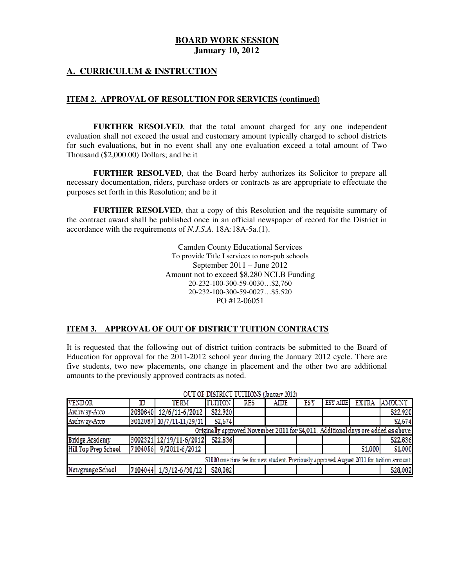### **A. CURRICULUM & INSTRUCTION**

#### **ITEM 2. APPROVAL OF RESOLUTION FOR SERVICES (continued)**

**FURTHER RESOLVED**, that the total amount charged for any one independent evaluation shall not exceed the usual and customary amount typically charged to school districts for such evaluations, but in no event shall any one evaluation exceed a total amount of Two Thousand (\$2,000.00) Dollars; and be it

**FURTHER RESOLVED**, that the Board herby authorizes its Solicitor to prepare all necessary documentation, riders, purchase orders or contracts as are appropriate to effectuate the purposes set forth in this Resolution; and be it

**FURTHER RESOLVED**, that a copy of this Resolution and the requisite summary of the contract award shall be published once in an official newspaper of record for the District in accordance with the requirements of *N.J.S.A.* 18A:18A-5a.(1).

> Camden County Educational Services To provide Title I services to non-pub schools September 2011 – June 2012 Amount not to exceed \$8,280 NCLB Funding 20-232-100-300-59-0030…\$2,760 20-232-100-300-59-0027…\$5,520 PO #12-06051

#### **ITEM 3. APPROVAL OF OUT OF DISTRICT TUITION CONTRACTS**

It is requested that the following out of district tuition contracts be submitted to the Board of Education for approval for the 2011-2012 school year during the January 2012 cycle. There are five students, two new placements, one change in placement and the other two are additional amounts to the previously approved contracts as noted.

|                                                                                          |                                                                                   |                          |               |      | 计分布 计计分类 计分析式 计分析 经公司 计分布 计无序程序 计可以转移程序 计可分类型 |            |           |         |               |
|------------------------------------------------------------------------------------------|-----------------------------------------------------------------------------------|--------------------------|---------------|------|-----------------------------------------------|------------|-----------|---------|---------------|
| <b>VENDOR</b>                                                                            | D                                                                                 | <b>TERM</b>              | <b>TUTHON</b> | RES. | <b>AIDE</b>                                   | <b>LSY</b> | ESY AIDEL | - EXTRA | <b>AMOUNT</b> |
| Archway-Atco                                                                             |                                                                                   | 2030840 12/6/11-6/2012   | S22,920       |      |                                               |            |           |         | S22,920       |
| Archway-Atco                                                                             |                                                                                   | 3012087 10/7/11-11/29/11 | S2,674        |      |                                               |            |           |         | S2.674        |
|                                                                                          | Originally approved November 2011 for S4,011. Additional days are added as above. |                          |               |      |                                               |            |           |         |               |
| Bridge Academy                                                                           |                                                                                   | 3002321 12/19/11-6/2012  | S22,836       |      |                                               |            |           |         | S22,836       |
| Hill Top Prep School                                                                     |                                                                                   | 7104056 9/2011-6/2012    |               |      |                                               |            |           | S1,000  | S1,000        |
| \$1000 one time fee for new student. Previously approved August 2011 for tuition amount. |                                                                                   |                          |               |      |                                               |            |           |         |               |
| Newgrange School                                                                         |                                                                                   | 7104044 1/3/12-6/30/12   | S28,082       |      |                                               |            |           |         | S28,082       |

OUT OF DISTRICT TUITIONS (Lamary 2012)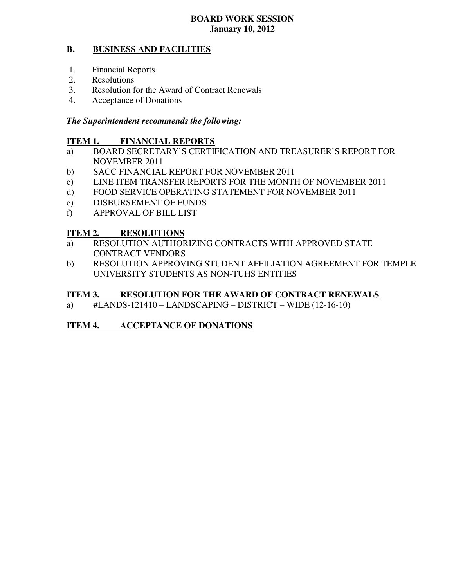#### **B. BUSINESS AND FACILITIES**

- 1. Financial Reports
- 2. Resolutions
- 3. Resolution for the Award of Contract Renewals
- 4. Acceptance of Donations

# *The Superintendent recommends the following:*

#### **ITEM 1. FINANCIAL REPORTS**

- a) BOARD SECRETARY'S CERTIFICATION AND TREASURER'S REPORT FOR NOVEMBER 2011
- $b)$ SACC FINANCIAL REPORT FOR NOVEMBER 2011
- $c)$ LINE ITEM TRANSFER REPORTS FOR THE MONTH OF NOVEMBER 2011
- $\mathbf{d}$ FOOD SERVICE OPERATING STATEMENT FOR NOVEMBER 2011
- e) DISBURSEMENT OF FUNDS
- f) APPROVAL OF BILL LIST

#### **ITEM 2. RESOLUTIONS**

- a) RESOLUTION AUTHORIZING CONTRACTS WITH APPROVED STATE CONTRACT VENDORS
- b) RESOLUTION APPROVING STUDENT AFFILIATION AGREEMENT FOR TEMPLE UNIVERSITY STUDENTS AS NON-TUHS ENTITIES

#### **ITEM 3. RESOLUTION FOR THE AWARD OF CONTRACT RENEWALS**

a) #LANDS-121410 – LANDSCAPING – DISTRICT – WIDE (12-16-10)

# **ITEM 4. ACCEPTANCE OF DONATIONS**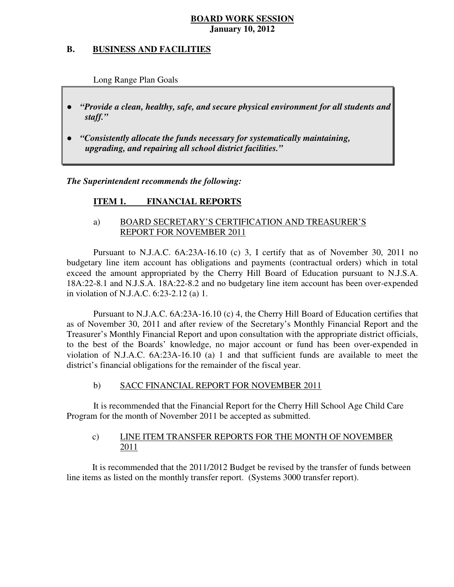#### **B. B. BUSINESS AND FACILITIES**

Long Range Plan Goals

- *"Provide a clean, healthy, safe, and secure physical environment for all students and staff."*
- *upgrading, and repairing all school district facilities."*  ● *"Consistently allocate the funds necessary for systematically maintaining,*

 *The Superintendent recommends the following:* 

#### **ITEM 1. FINANCIAL REPORTS**

# a) BOARD SECRETARY'S CERTIFICATION AND TREASURER'S REPORT FOR NOVEMBER 2011

 Pursuant to N.J.A.C. 6A:23A-16.10 (c) 3, I certify that as of November 30, 2011 no budgetary line item account has obligations and payments (contractual orders) which in total exceed the amount appropriated by the Cherry Hill Board of Education pursuant to N.J.S.A. 18A:22-8.1 and N.J.S.A. 18A:22-8.2 and no budgetary line item account has been over-expended in violation of N.J.A.C. 6:23-2.12 (a) 1.

 Pursuant to N.J.A.C. 6A:23A-16.10 (c) 4, the Cherry Hill Board of Education certifies that as of November 30, 2011 and after review of the Secretary's Monthly Financial Report and the Treasurer's Monthly Financial Report and upon consultation with the appropriate district officials, to the best of the Boards' knowledge, no major account or fund has been over-expended in violation of N.J.A.C. 6A:23A-16.10 (a) 1 and that sufficient funds are available to meet the district's financial obligations for the remainder of the fiscal year.

#### $b)$ b) SACC FINANCIAL REPORT FOR NOVEMBER 2011

 It is recommended that the Financial Report for the Cherry Hill School Age Child Care Program for the month of November 2011 be accepted as submitted.

#### $\mathbf{c})$ LINE ITEM TRANSFER REPORTS FOR THE MONTH OF NOVEMBER 2011

 It is recommended that the 2011/2012 Budget be revised by the transfer of funds between line items as listed on the monthly transfer report. (Systems 3000 transfer report).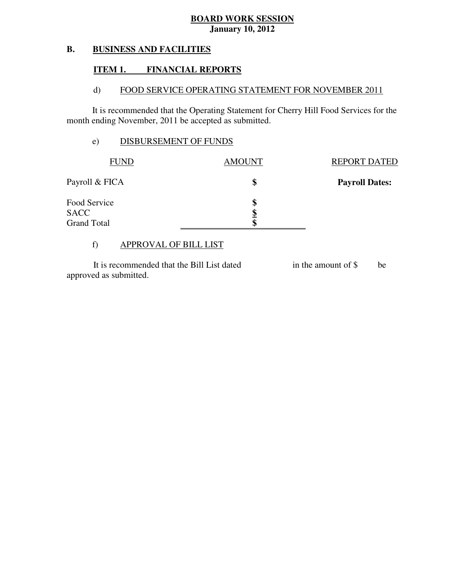#### **B. BUSINESS AND FACILITIES**

# **ITEM 1. FINANCIAL REPORTS**

#### $\mathbf{d}$ FOOD SERVICE OPERATING STATEMENT FOR NOVEMBER 2011

 It is recommended that the Operating Statement for Cherry Hill Food Services for the month ending November, 2011 be accepted as submitted.

# e) DISBURSEMENT OF FUNDS

| <b>FUND</b>                       | <b>AMOUNT</b> | <b>REPORT DATED</b>   |
|-----------------------------------|---------------|-----------------------|
| Payroll & FICA                    | \$            | <b>Payroll Dates:</b> |
| Food Service                      | S             |                       |
| <b>SACC</b><br><b>Grand Total</b> | Œ             |                       |

# f) APPROVAL OF BILL LIST

 approved as submitted. It is recommended that the Bill List dated in the amount of \$ be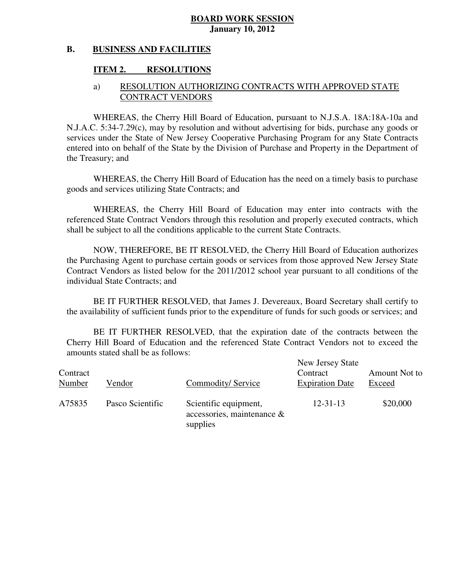#### **B. BUSINESS AND FACILITIES**

# **ITEM 2. RESOLUTIONS**

# a) RESOLUTION AUTHORIZING CONTRACTS WITH APPROVED STATE CONTRACT VENDORS

 WHEREAS, the Cherry Hill Board of Education, pursuant to N.J.S.A. 18A:18A-10a and N.J.A.C. 5:34-7.29(c), may by resolution and without advertising for bids, purchase any goods or services under the State of New Jersey Cooperative Purchasing Program for any State Contracts entered into on behalf of the State by the Division of Purchase and Property in the Department of the Treasury; and

 WHEREAS, the Cherry Hill Board of Education has the need on a timely basis to purchase goods and services utilizing State Contracts; and

 WHEREAS, the Cherry Hill Board of Education may enter into contracts with the referenced State Contract Vendors through this resolution and properly executed contracts, which shall be subject to all the conditions applicable to the current State Contracts.

 NOW, THEREFORE, BE IT RESOLVED, the Cherry Hill Board of Education authorizes the Purchasing Agent to purchase certain goods or services from those approved New Jersey State Contract Vendors as listed below for the 2011/2012 school year pursuant to all conditions of the individual State Contracts; and

 the availability of sufficient funds prior to the expenditure of funds for such goods or services; and BE IT FURTHER RESOLVED, that James J. Devereaux, Board Secretary shall certify to

 Cherry Hill Board of Education and the referenced State Contract Vendors not to exceed the amounts stated shall be as follows: BE IT FURTHER RESOLVED, that the expiration date of the contracts between the

| Contract<br>Number | Vendor           | Commodity/Service                                               | New Jersey State<br>Contract<br><b>Expiration Date</b> | Amount Not to<br>Exceed |
|--------------------|------------------|-----------------------------------------------------------------|--------------------------------------------------------|-------------------------|
| A75835             | Pasco Scientific | Scientific equipment,<br>accessories, maintenance &<br>supplies | $12 - 31 - 13$                                         | \$20,000                |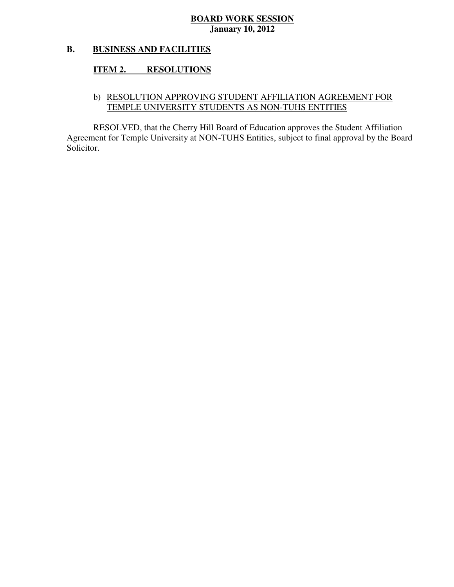#### **B. BUSINESS AND FACILITIES**

#### **ITEM 2. RESOLUTIONS**

# b) RESOLUTION APPROVING STUDENT AFFILIATION AGREEMENT FOR TEMPLE UNIVERSITY STUDENTS AS NON-TUHS ENTITIES

 RESOLVED, that the Cherry Hill Board of Education approves the Student Affiliation Agreement for Temple University at NON-TUHS Entities, subject to final approval by the Board Solicitor.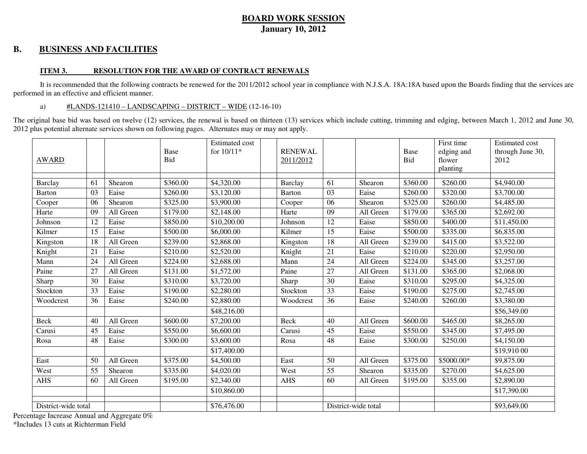#### **B. BUSINESS AND FACILITIES**

#### **ITEM 3. RESOLUTION FOR THE AWARD OF CONTRACT RENEWALS**

It is recommended that the following contracts be renewed for the 2011/2012 school year in compliance with N.J.S.A. 18A:18A based upon the Boards finding that the services are performed in an effective and efficient manner.

#### a) #LANDS-121410 – LANDSCAPING – DISTRICT – WIDE (12-16-10)

The original base bid was based on twelve (12) services, the renewal is based on thirteen (13) services which include cutting, trimming and edging, between March 1, 2012 and June 30, 2012 plus potential alternate services shown on following pages. Alternates may or may not apply.

| <b>AWARD</b>        |    |           | Base<br>Bid | <b>Estimated</b> cost<br>for 10/11* | <b>RENEWAL</b><br>2011/2012 |    |                     | Base<br>Bid | First time<br>edging and<br>flower<br>planting | <b>Estimated cost</b><br>through June 30,<br>2012 |
|---------------------|----|-----------|-------------|-------------------------------------|-----------------------------|----|---------------------|-------------|------------------------------------------------|---------------------------------------------------|
| Barclay             | 61 | Shearon   | \$360.00    | \$4,320.00                          | Barclay                     | 61 | Shearon             | \$360.00    | \$260.00                                       | \$4,940.00                                        |
| <b>Barton</b>       | 03 | Eaise     | \$260.00    | \$3,120.00                          | Barton                      | 03 | Eaise               | \$260.00    | \$320.00                                       | \$3,700.00                                        |
| Cooper              | 06 | Shearon   | \$325.00    | \$3,900.00                          | Cooper                      | 06 | Shearon             | \$325.00    | \$260.00                                       | \$4,485.00                                        |
| Harte               | 09 | All Green | \$179.00    | \$2,148.00                          | Harte                       | 09 | All Green           | \$179.00    | \$365.00                                       | \$2,692.00                                        |
| Johnson             | 12 | Eaise     | \$850.00    | \$10,200.00                         | Johnson                     | 12 | Eaise               | \$850.00    | \$400.00                                       | \$11,450.00                                       |
| Kilmer              | 15 | Eaise     | \$500.00    | \$6,000.00                          | Kilmer                      | 15 | Eaise               | \$500.00    | \$335.00                                       | \$6,835.00                                        |
| Kingston            | 18 | All Green | \$239.00    | \$2,868.00                          | Kingston                    | 18 | All Green           | \$239.00    | \$415.00                                       | \$3,522.00                                        |
| Knight              | 21 | Eaise     | \$210.00    | \$2,520.00                          | Knight                      | 21 | Eaise               | \$210.00    | \$220.00                                       | \$2,950.00                                        |
| Mann                | 24 | All Green | \$224.00    | \$2,688.00                          | Mann                        | 24 | All Green           | \$224.00    | \$345.00                                       | \$3,257.00                                        |
| Paine               | 27 | All Green | \$131.00    | \$1,572.00                          | Paine                       | 27 | All Green           | \$131.00    | \$365.00                                       | \$2,068.00                                        |
| Sharp               | 30 | Eaise     | \$310.00    | \$3,720.00                          | Sharp                       | 30 | Eaise               | \$310.00    | \$295.00                                       | \$4,325.00                                        |
| Stockton            | 33 | Eaise     | \$190.00    | \$2,280.00                          | Stockton                    | 33 | Eaise               | \$190.00    | \$275.00                                       | \$2,745.00                                        |
| Woodcrest           | 36 | Eaise     | \$240.00    | \$2,880.00                          | Woodcrest                   | 36 | Eaise               | \$240.00    | \$260.00                                       | \$3,380.00                                        |
|                     |    |           |             | \$48,216.00                         |                             |    |                     |             |                                                | \$56,349.00                                       |
| Beck                | 40 | All Green | \$600.00    | \$7,200.00                          | Beck                        | 40 | All Green           | \$600.00    | \$465.00                                       | \$8,265.00                                        |
| Carusi              | 45 | Eaise     | \$550.00    | \$6,600.00                          | Carusi                      | 45 | Eaise               | \$550.00    | \$345.00                                       | \$7,495.00                                        |
| Rosa                | 48 | Eaise     | \$300.00    | \$3,600.00                          | Rosa                        | 48 | Eaise               | \$300.00    | \$250.00                                       | \$4,150.00                                        |
|                     |    |           |             | \$17,400.00                         |                             |    |                     |             |                                                | \$19,910 00                                       |
| East                | 50 | All Green | \$375.00    | \$4,500.00                          | East                        | 50 | All Green           | \$375.00    | \$5000.00*                                     | \$9,875.00                                        |
| West                | 55 | Shearon   | \$335.00    | \$4,020.00                          | West                        | 55 | Shearon             | \$335.00    | \$270.00                                       | \$4,625.00                                        |
| <b>AHS</b>          | 60 | All Green | \$195.00    | \$2,340.00                          | <b>AHS</b>                  | 60 | All Green           | \$195.00    | \$355.00                                       | \$2,890.00                                        |
|                     |    |           |             | \$10,860.00                         |                             |    |                     |             |                                                | \$17,390.00                                       |
| District-wide total |    |           |             | \$76,476.00                         |                             |    | District-wide total |             |                                                | \$93,649.00                                       |

Percentage Increase Annual and Aggregate 0%

\*Includes 13 cuts at Richterman Field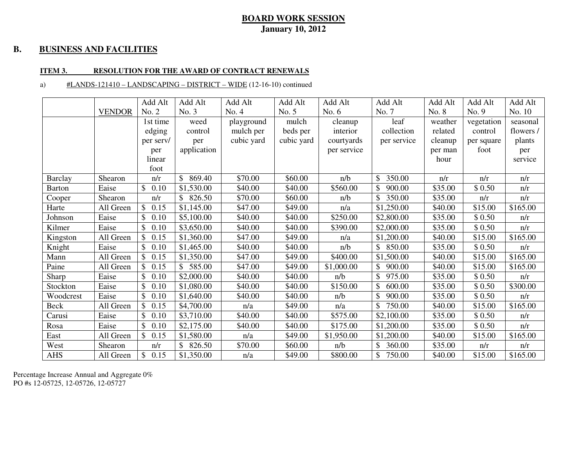#### **B. BUSINESS AND FACILITIES**

#### **ITEM 3. RESOLUTION FOR THE AWARD OF CONTRACT RENEWALS**

#### a) #LANDS-121410 – LANDSCAPING – DISTRICT – WIDE (12-16-10) continued

|                |               | Add Alt                | Add Alt                | Add Alt    | Add Alt    | Add Alt     | Add Alt                | Add Alt | Add Alt    | Add Alt   |
|----------------|---------------|------------------------|------------------------|------------|------------|-------------|------------------------|---------|------------|-----------|
|                | <b>VENDOR</b> | No. 2                  | No. 3                  | No. 4      | No. 5      | No. $6$     | No. 7                  | No. 8   | No. 9      | No. 10    |
|                |               | 1st time               | weed                   | playground | mulch      | cleanup     | leaf                   | weather | vegetation | seasonal  |
|                |               | edging                 | control                | mulch per  | beds per   | interior    | collection             | related | control    | flowers / |
|                |               | per serv/              | per                    | cubic yard | cubic yard | courtyards  | per service            | cleanup | per square | plants    |
|                |               | per                    | application            |            |            | per service |                        | per man | foot       | per       |
|                |               | linear                 |                        |            |            |             |                        | hour    |            | service   |
|                |               | foot                   |                        |            |            |             |                        |         |            |           |
| <b>Barclay</b> | Shearon       | n/r                    | $\mathbb{S}$<br>869.40 | \$70.00    | \$60.00    | n/b         | \$<br>350.00           | n/r     | n/r        | n/r       |
| <b>Barton</b>  | Eaise         | $\mathbb{S}$<br>0.10   | \$1,530.00             | \$40.00    | \$40.00    | \$560.00    | 900.00                 | \$35.00 | \$0.50     | n/r       |
| Cooper         | Shearon       | n/r                    | \$826.50               | \$70.00    | \$60.00    | n/b         | 350.00                 | \$35.00 | n/r        | n/r       |
| Harte          | All Green     | \$<br>0.15             | \$1,145.00             | \$47.00    | \$49.00    | n/a         | \$1,250.00             | \$40.00 | \$15.00    | \$165.00  |
| Johnson        | Eaise         | \$.<br>0.10            | \$5,100.00             | \$40.00    | \$40.00    | \$250.00    | \$2,800.00             | \$35.00 | \$0.50     | n/r       |
| Kilmer         | Eaise         | \$<br>0.10             | \$3,650.00             | \$40.00    | \$40.00    | \$390.00    | \$2,000.00             | \$35.00 | \$0.50     | n/r       |
| Kingston       | All Green     | $\mathbb{S}^-$<br>0.15 | \$1,360.00             | \$47.00    | \$49.00    | n/a         | \$1,200.00             | \$40.00 | \$15.00    | \$165.00  |
| Knight         | Eaise         | \$<br>0.10             | \$1,465.00             | \$40.00    | \$40.00    | n/b         | $\mathbb{S}$<br>850.00 | \$35.00 | \$0.50     | n/r       |
| Mann           | All Green     | \$<br>0.15             | \$1,350.00             | \$47.00    | \$49.00    | \$400.00    | \$1,500.00             | \$40.00 | \$15.00    | \$165.00  |
| Paine          | All Green     | 0.15<br>\$             | \$585.00               | \$47.00    | \$49.00    | \$1,000.00  | \$900.00               | \$40.00 | \$15.00    | \$165.00  |
| Sharp          | Eaise         | \$<br>0.10             | \$2,000.00             | \$40.00    | \$40.00    | n/b         | 975.00                 | \$35.00 | \$0.50     | n/r       |
| Stockton       | Eaise         | \$<br>0.10             | \$1,080.00             | \$40.00    | \$40.00    | \$150.00    | 600.00<br>\$           | \$35.00 | \$0.50     | \$300.00  |
| Woodcrest      | Eaise         | $\mathbb{S}$<br>0.10   | \$1,640.00             | \$40.00    | \$40.00    | n/b         | 900.00                 | \$35.00 | \$0.50     | n/r       |
| Beck           | All Green     | \$<br>0.15             | \$4,700.00             | n/a        | \$49.00    | n/a         | 750.00                 | \$40.00 | \$15.00    | \$165.00  |
| Carusi         | Eaise         | 0.10<br>\$             | \$3,710.00             | \$40.00    | \$40.00    | \$575.00    | \$2,100.00             | \$35.00 | \$0.50     | n/r       |
| Rosa           | Eaise         | \$<br>0.10             | \$2,175.00             | \$40.00    | \$40.00    | \$175.00    | \$1,200.00             | \$35.00 | \$0.50     | n/r       |
| East           | All Green     | \$0.15                 | \$1,580.00             | n/a        | \$49.00    | \$1,950.00  | \$1,200.00             | \$40.00 | \$15.00    | \$165.00  |
| West           | Shearon       | n/r                    | \$826.50               | \$70.00    | \$60.00    | n/b         | 360.00                 | \$35.00 | n/r        | n/r       |
| <b>AHS</b>     | All Green     | \$<br>0.15             | \$1,350.00             | n/a        | \$49.00    | \$800.00    | 750.00                 | \$40.00 | \$15.00    | \$165.00  |

Percentage Increase Annual and Aggregate 0% PO #s 12-05725, 12-05726, 12-05727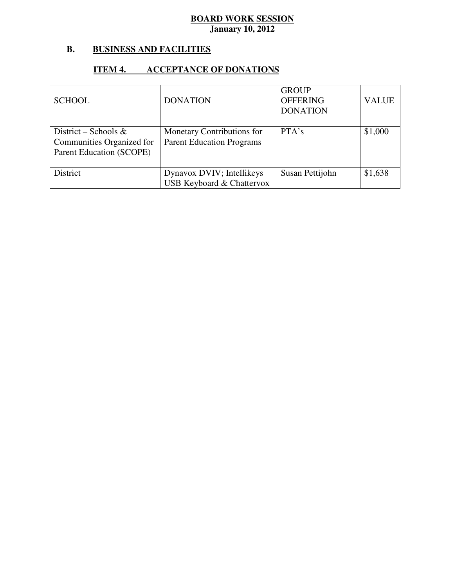#### **B. B. BUSINESS AND FACILITIES**

### **ITEM 4. ACCEPTANCE OF DONATIONS**

| <b>SCHOOL</b>                                                                 | <b>DONATION</b>                                                   | <b>GROUP</b><br><b>OFFERING</b><br><b>DONATION</b> | <b>VALUE</b> |
|-------------------------------------------------------------------------------|-------------------------------------------------------------------|----------------------------------------------------|--------------|
| District – Schools &<br>Communities Organized for<br>Parent Education (SCOPE) | Monetary Contributions for<br><b>Parent Education Programs</b>    | PTA's                                              | \$1,000      |
| District                                                                      | Dynavox DVIV; Intellikeys<br><b>USB Keyboard &amp; Chattervox</b> | Susan Pettijohn                                    | \$1,638      |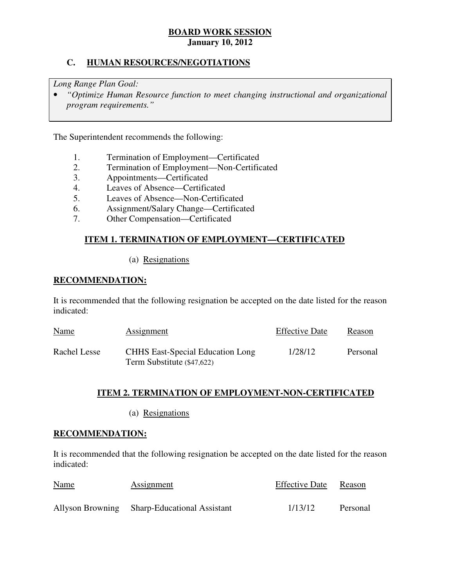# **C. HUMAN RESOURCES/NEGOTIATIONS**

 *Long Range Plan Goal:* 

**•** *"Optimize Human Resource function to meet changing instructional and organizational program requirements."* 

The Superintendent recommends the following:

- 1. Termination of Employment—Certificated
- 2. Termination of Employment—Non-Certificated
- 3. Appointments—Certificated
- 4. Leaves of Absence—Certificated
- 5. Leaves of Absence—Non-Certificated
- 6. Assignment/Salary Change—Certificated
- 7. Other Compensation—Certificated

# **ITEM 1. TERMINATION OF EMPLOYMENT—CERTIFICATED**

(a) Resignations

# **RECOMMENDATION:**

 It is recommended that the following resignation be accepted on the date listed for the reason indicated:

| <b>Name</b>  | Assignment                                                            | <b>Effective Date</b> | Reason   |
|--------------|-----------------------------------------------------------------------|-----------------------|----------|
| Rachel Lesse | <b>CHHS</b> East-Special Education Long<br>Term Substitute (\$47,622) | 1/28/12               | Personal |

# **ITEM 2. TERMINATION OF EMPLOYMENT-NON-CERTIFICATED**

(a) Resignations

#### **RECOMMENDATION:**

 It is recommended that the following resignation be accepted on the date listed for the reason indicated:

| <b>Name</b> | Assignment                                   | <b>Effective Date</b> | Reason   |
|-------------|----------------------------------------------|-----------------------|----------|
|             | Allyson Browning Sharp-Educational Assistant | 1/13/12               | Personal |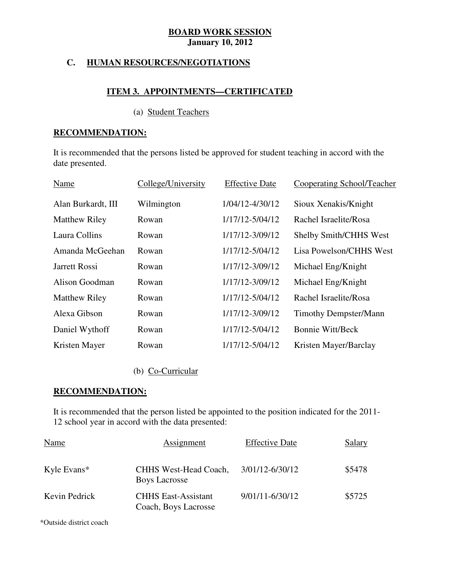# **C. HUMAN RESOURCES/NEGOTIATIONS**

# **ITEM 3. APPOINTMENTS—CERTIFICATED**

#### (a) Student Teachers

# **RECOMMENDATION:**

 It is recommended that the persons listed be approved for student teaching in accord with the date presented.

| Name                 | College/University | <b>Effective Date</b> | <b>Cooperating School/Teacher</b> |
|----------------------|--------------------|-----------------------|-----------------------------------|
| Alan Burkardt, III   | Wilmington         | 1/04/12-4/30/12       | Sioux Xenakis/Knight              |
| <b>Matthew Riley</b> | Rowan              | 1/17/12-5/04/12       | Rachel Israelite/Rosa             |
| Laura Collins        | Rowan              | 1/17/12-3/09/12       | <b>Shelby Smith/CHHS West</b>     |
| Amanda McGeehan      | Rowan              | 1/17/12-5/04/12       | Lisa Powelson/CHHS West           |
| Jarrett Rossi        | Rowan              | 1/17/12-3/09/12       | Michael Eng/Knight                |
| Alison Goodman       | Rowan              | 1/17/12-3/09/12       | Michael Eng/Knight                |
| <b>Matthew Riley</b> | Rowan              | 1/17/12-5/04/12       | Rachel Israelite/Rosa             |
| Alexa Gibson         | Rowan              | 1/17/12-3/09/12       | <b>Timothy Dempster/Mann</b>      |
| Daniel Wythoff       | Rowan              | 1/17/12-5/04/12       | <b>Bonnie Witt/Beck</b>           |
| Kristen Mayer        | Rowan              | 1/17/12-5/04/12       | Kristen Mayer/Barclay             |

# (b) Co-Curricular

# **RECOMMENDATION:**

 It is recommended that the person listed be appointed to the position indicated for the 2011 12 school year in accord with the data presented:

| Name          | Assignment                                         | <b>Effective Date</b> | Salary |
|---------------|----------------------------------------------------|-----------------------|--------|
| Kyle Evans*   | CHHS West-Head Coach,<br><b>Boys Lacrosse</b>      | 3/01/12-6/30/12       | \$5478 |
| Kevin Pedrick | <b>CHHS East-Assistant</b><br>Coach, Boys Lacrosse | $9/01/11 - 6/30/12$   | \$5725 |

\*Outside district coach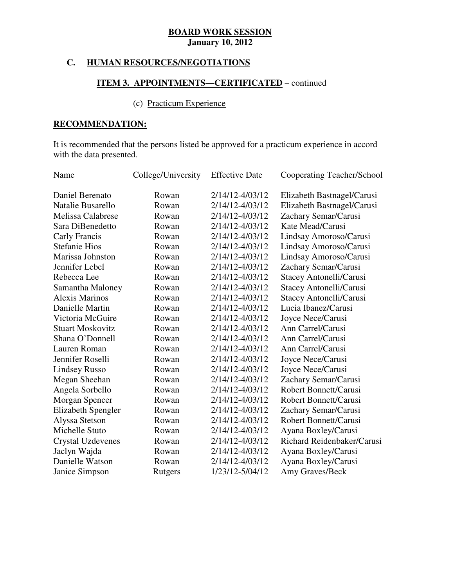# **C. HUMAN RESOURCES/NEGOTIATIONS**

# **ITEM 3. APPOINTMENTS—CERTIFICATED** – continued

# (c) Practicum Experience

# **RECOMMENDATION:**

 It is recommended that the persons listed be approved for a practicum experience in accord with the data presented.

| Name                      | College/University | <b>Effective Date</b> | <b>Cooperating Teacher/School</b> |
|---------------------------|--------------------|-----------------------|-----------------------------------|
| Daniel Berenato           | Rowan              | 2/14/12-4/03/12       | Elizabeth Bastnagel/Carusi        |
| Natalie Busarello         | Rowan              | 2/14/12-4/03/12       | Elizabeth Bastnagel/Carusi        |
| Melissa Calabrese         | Rowan              | 2/14/12-4/03/12       | Zachary Semar/Carusi              |
| Sara DiBenedetto          | Rowan              | 2/14/12-4/03/12       | Kate Mead/Carusi                  |
| Carly Francis             | Rowan              | 2/14/12-4/03/12       | Lindsay Amoroso/Carusi            |
| <b>Stefanie Hios</b>      | Rowan              | 2/14/12-4/03/12       | Lindsay Amoroso/Carusi            |
| Marissa Johnston          | Rowan              | 2/14/12-4/03/12       | Lindsay Amoroso/Carusi            |
| Jennifer Lebel            | Rowan              | 2/14/12-4/03/12       | Zachary Semar/Carusi              |
| Rebecca Lee               | Rowan              | 2/14/12-4/03/12       | Stacey Antonelli/Carusi           |
| Samantha Maloney          | Rowan              | 2/14/12-4/03/12       | Stacey Antonelli/Carusi           |
| <b>Alexis Marinos</b>     | Rowan              | 2/14/12-4/03/12       | Stacey Antonelli/Carusi           |
| Danielle Martin           | Rowan              | 2/14/12-4/03/12       | Lucia Ibanez/Carusi               |
| Victoria McGuire          | Rowan              | 2/14/12-4/03/12       | Joyce Nece/Carusi                 |
| <b>Stuart Moskovitz</b>   | Rowan              | 2/14/12-4/03/12       | Ann Carrel/Carusi                 |
| Shana O'Donnell           | Rowan              | 2/14/12-4/03/12       | Ann Carrel/Carusi                 |
| Lauren Roman              | Rowan              | 2/14/12-4/03/12       | Ann Carrel/Carusi                 |
| Jennifer Roselli          | Rowan              | 2/14/12-4/03/12       | Joyce Nece/Carusi                 |
| <b>Lindsey Russo</b>      | Rowan              | 2/14/12-4/03/12       | Joyce Nece/Carusi                 |
| Megan Sheehan             | Rowan              | 2/14/12-4/03/12       | Zachary Semar/Carusi              |
| Angela Sorbello           | Rowan              | 2/14/12-4/03/12       | Robert Bonnett/Carusi             |
| Morgan Spencer            | Rowan              | 2/14/12-4/03/12       | Robert Bonnett/Carusi             |
| <b>Elizabeth Spengler</b> | Rowan              | 2/14/12-4/03/12       | Zachary Semar/Carusi              |
| Alyssa Stetson            | Rowan              | 2/14/12-4/03/12       | Robert Bonnett/Carusi             |
| Michelle Stuto            | Rowan              | 2/14/12-4/03/12       | Ayana Boxley/Carusi               |
| <b>Crystal Uzdevenes</b>  | Rowan              | 2/14/12-4/03/12       | Richard Reidenbaker/Carusi        |
| Jaclyn Wajda              | Rowan              | 2/14/12-4/03/12       | Ayana Boxley/Carusi               |
| Danielle Watson           | Rowan              | 2/14/12-4/03/12       | Ayana Boxley/Carusi               |
| Janice Simpson            | Rutgers            | 1/23/12-5/04/12       | Amy Graves/Beck                   |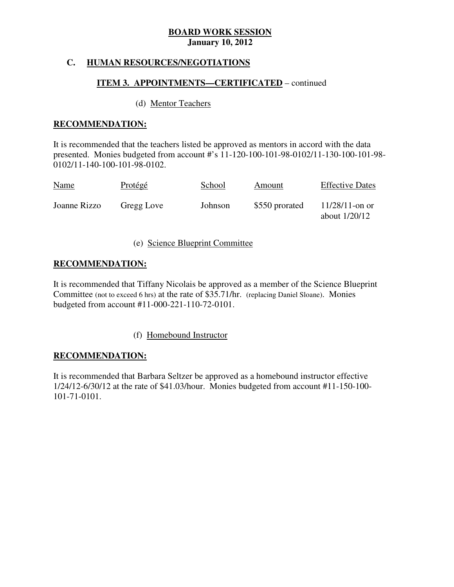# **C. HUMAN RESOURCES/NEGOTIATIONS**

# **ITEM 3. APPOINTMENTS—CERTIFICATED** – continued

# (d) Mentor Teachers

# **RECOMMENDATION:**

 It is recommended that the teachers listed be approved as mentors in accord with the data presented. Monies budgeted from account #'s 11-120-100-101-98-0102/11-130-100-101-98 0102/11-140-100-101-98-0102.

| <b>Name</b>  | <b>Protégé</b> | School  | Amount         | <b>Effective Dates</b>               |
|--------------|----------------|---------|----------------|--------------------------------------|
| Joanne Rizzo | Gregg Love     | Johnson | \$550 prorated | $11/28/11$ -on or<br>about $1/20/12$ |

# (e) Science Blueprint Committee

# **RECOMMENDATION:**

 It is recommended that Tiffany Nicolais be approved as a member of the Science Blueprint Committee (not to exceed 6 hrs) at the rate of \$35.71/hr. (replacing Daniel Sloane). Monies budgeted from account #11-000-221-110-72-0101.

# (f) Homebound Instructor

# **RECOMMENDATION:**

 It is recommended that Barbara Seltzer be approved as a homebound instructor effective 1/24/12-6/30/12 at the rate of \$41.03/hour. Monies budgeted from account #11-150-100 101-71-0101.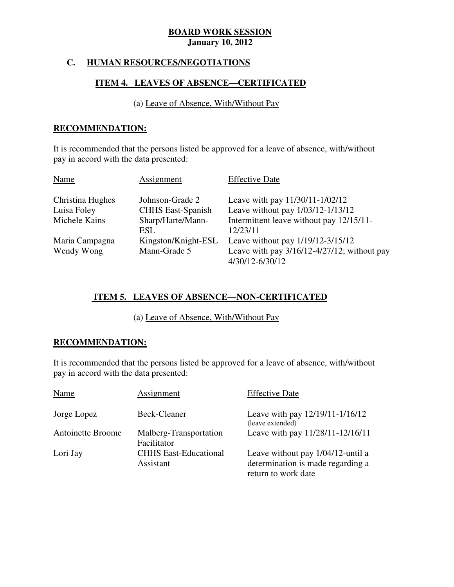# **C. HUMAN RESOURCES/NEGOTIATIONS**

# **ITEM 4. LEAVES OF ABSENCE—CERTIFICATED**

(a) Leave of Absence, With/Without Pay

# **RECOMMENDATION:**

 It is recommended that the persons listed be approved for a leave of absence, with/without pay in accord with the data presented:

| Name             | Assignment               | <b>Effective Date</b>                                               |
|------------------|--------------------------|---------------------------------------------------------------------|
| Christina Hughes | Johnson-Grade 2          | Leave with pay 11/30/11-1/02/12                                     |
| Luisa Foley      | <b>CHHS East-Spanish</b> | Leave without pay 1/03/12-1/13/12                                   |
| Michele Kains    | Sharp/Harte/Mann-        | Intermittent leave without pay 12/15/11-                            |
|                  | ESL                      | 12/23/11                                                            |
| Maria Campagna   | Kingston/Knight-ESL      | Leave without pay 1/19/12-3/15/12                                   |
| Wendy Wong       | Mann-Grade 5             | Leave with pay $3/16/12 - 4/27/12$ ; without pay<br>4/30/12-6/30/12 |

# **ITEM 5. LEAVES OF ABSENCE—NON-CERTIFICATED**

(a) Leave of Absence, With/Without Pay

# **RECOMMENDATION:**

 It is recommended that the persons listed be approved for a leave of absence, with/without pay in accord with the data presented:

| Name                     | Assignment                                | <b>Effective Date</b>                                                                         |
|--------------------------|-------------------------------------------|-----------------------------------------------------------------------------------------------|
| Jorge Lopez              | Beck-Cleaner                              | Leave with pay 12/19/11-1/16/12<br>(leave extended)                                           |
| <b>Antoinette Broome</b> | Malberg-Transportation<br>Facilitator     | Leave with pay 11/28/11-12/16/11                                                              |
| Lori Jay                 | <b>CHHS East-Educational</b><br>Assistant | Leave without pay 1/04/12-until a<br>determination is made regarding a<br>return to work date |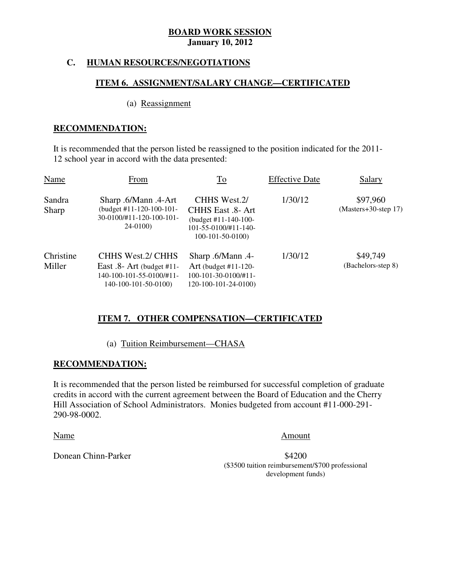# **C. HUMAN RESOURCES/NEGOTIATIONS**

### **ITEM 6. ASSIGNMENT/SALARY CHANGE—CERTIFICATED**

#### (a) Reassignment

# **RECOMMENDATION:**

 It is recommended that the person listed be reassigned to the position indicated for the 2011 12 school year in accord with the data presented:

| Name                | From                                                                                                  | To                                                                                                                        | <b>Effective Date</b> | Salary                             |
|---------------------|-------------------------------------------------------------------------------------------------------|---------------------------------------------------------------------------------------------------------------------------|-----------------------|------------------------------------|
| Sandra<br>Sharp     | Sharp .6/Mann .4-Art<br>(budget #11-120-100-101-<br>30-0100/#11-120-100-101-<br>$24-0100$             | CHHS West.2/<br>CHHS East .8- Art<br>(budget $\#11 - 140 - 100 -$<br>$101 - 55 - 0100 \div 11 - 140$<br>$100-101-50-0100$ | 1/30/12               | \$97,960<br>$(Masters+30-step 17)$ |
| Christine<br>Miller | CHHS West.2/ CHHS<br>East $.8$ - Art (budget #11-<br>140-100-101-55-0100/#11-<br>140-100-101-50-0100) | -4. Sharp .6/Mann<br>Art (budget $#11-120-$<br>$100-101-30-0100/+11-$<br>120-100-101-24-0100)                             | 1/30/12               | \$49,749<br>(Bachelors-step 8)     |

# **ITEM 7. OTHER COMPENSATION—CERTIFICATED**

# (a) Tuition Reimbursement—CHASA

# **RECOMMENDATION:**

 It is recommended that the person listed be reimbursed for successful completion of graduate credits in accord with the current agreement between the Board of Education and the Cherry Hill Association of School Administrators. Monies budgeted from account #11-000-291 290-98-0002.

#### Name Amount

\$4200 (\$3500 tuition reimbursement/\$700 professional development funds)

Donean Chinn-Parker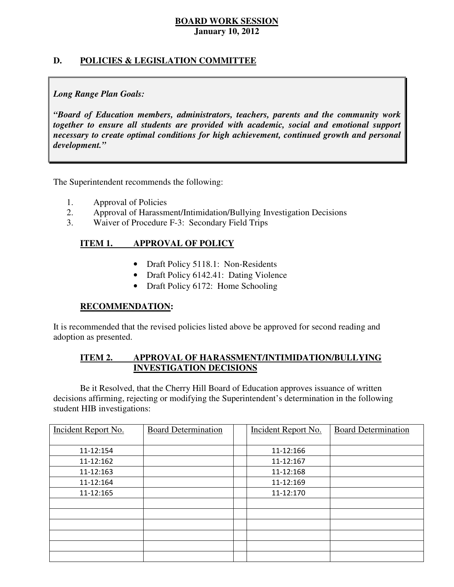# **D. POLICIES & LEGISLATION COMMITTEE**

# *Long Range Plan Goals:*

 *"Board of Education members, administrators, teachers, parents and the community work together to ensure all students are provided with academic, social and emotional support necessary to create optimal conditions for high achievement, continued growth and personal development."* 

The Superintendent recommends the following:

- 1. Approval of Policies
- 2. Approval of Harassment/Intimidation/Bullying Investigation Decisions
- 3. Waiver of Procedure F-3: Secondary Field Trips

#### **ITEM 1. IMPROVAL OF POLICY**

- Draft Policy 5118.1: Non-Residents
- Draft Policy 6142.41: Dating Violence
- Draft Policy 6172: Home Schooling

# **RECOMMENDATION:**

 It is recommended that the revised policies listed above be approved for second reading and adoption as presented.

#### **ITEM 2.** APPROVAL OF HARASSMENT/INTIMIDATION/BULLYING **INVESTIGATION DECISIONS**

 decisions affirming, rejecting or modifying the Superintendent's determination in the following student HIB investigations: Be it Resolved, that the Cherry Hill Board of Education approves issuance of written

| <b>Incident Report No.</b> | <b>Board Determination</b> | Incident Report No. | <b>Board Determination</b> |
|----------------------------|----------------------------|---------------------|----------------------------|
|                            |                            |                     |                            |
| 11-12:154                  |                            | 11-12:166           |                            |
| 11-12:162                  |                            | 11-12:167           |                            |
| 11-12:163                  |                            | 11-12:168           |                            |
| 11-12:164                  |                            | 11-12:169           |                            |
| 11-12:165                  |                            | 11-12:170           |                            |
|                            |                            |                     |                            |
|                            |                            |                     |                            |
|                            |                            |                     |                            |
|                            |                            |                     |                            |
|                            |                            |                     |                            |
|                            |                            |                     |                            |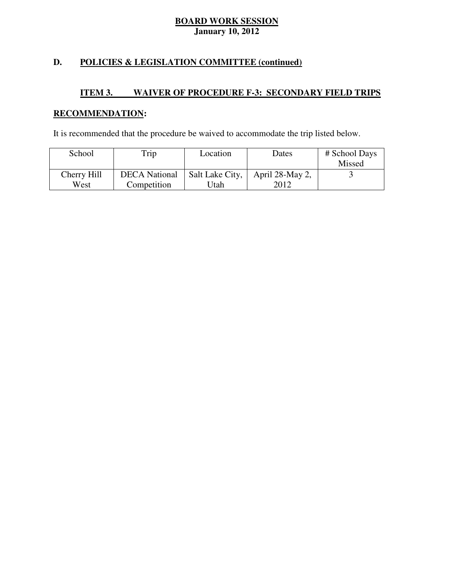# **D. POLICIES & LEGISLATION COMMITTEE (continued)**

#### **ITEM 3. INAIVER OF PROCEDURE F-3: SECONDARY FIELD TRIPS**

# **RECOMMENDATION:**

It is recommended that the procedure be waived to accommodate the trip listed below.

| School      | Trip                 | Location        | Dates           | # School Days |
|-------------|----------------------|-----------------|-----------------|---------------|
|             |                      |                 |                 | Missed        |
| Cherry Hill | <b>DECA</b> National | Salt Lake City, | April 28-May 2, |               |
| West        | Competition          | Jtah            | 2012            |               |